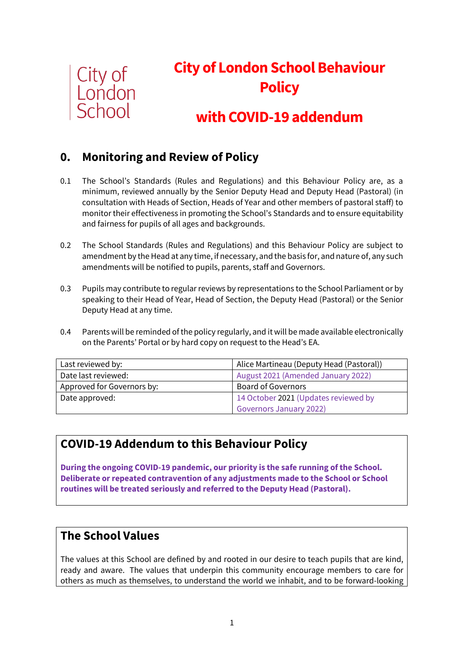

# **City of London School Behaviour Policy**

# **with COVID-19 addendum**

# **0. Monitoring and Review of Policy**

- 0.1 The School's Standards (Rules and Regulations) and this Behaviour Policy are, as a minimum, reviewed annually by the Senior Deputy Head and Deputy Head (Pastoral) (in consultation with Heads of Section, Heads of Year and other members of pastoral staff) to monitor their effectiveness in promoting the School's Standards and to ensure equitability and fairness for pupils of all ages and backgrounds.
- 0.2 The School Standards (Rules and Regulations) and this Behaviour Policy are subject to amendment by the Head at any time, if necessary, and the basis for, and nature of, any such amendments will be notified to pupils, parents, staff and Governors.
- 0.3 Pupils may contribute to regular reviews by representations to the School Parliament or by speaking to their Head of Year, Head of Section, the Deputy Head (Pastoral) or the Senior Deputy Head at any time.
- 0.4 Parents will be reminded of the policy regularly, and it will be made available electronically on the Parents' Portal or by hard copy on request to the Head's EA.

| Last reviewed by:          | Alice Martineau (Deputy Head (Pastoral)) |
|----------------------------|------------------------------------------|
| Date last reviewed:        | August 2021 (Amended January 2022)       |
| Approved for Governors by: | <b>Board of Governors</b>                |
| Date approved:             | 14 October 2021 (Updates reviewed by     |
|                            | <b>Governors January 2022)</b>           |

# **COVID-19 Addendum to this Behaviour Policy**

**During the ongoing COVID-19 pandemic, our priority is the safe running of the School. Deliberate or repeated contravention of any adjustments made to the School or School routines will be treated seriously and referred to the Deputy Head (Pastoral).** 

### **The School Values**

The values at this School are defined by and rooted in our desire to teach pupils that are kind, ready and aware. The values that underpin this community encourage members to care for others as much as themselves, to understand the world we inhabit, and to be forward-looking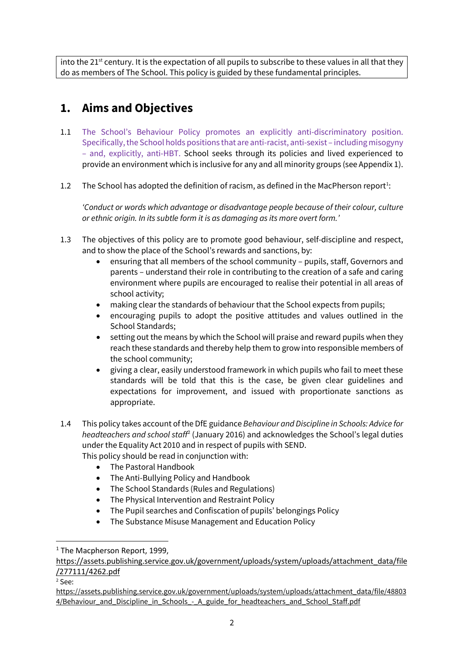into the 21<sup>st</sup> century. It is the expectation of all pupils to subscribe to these values in all that they do as members of The School. This policy is guided by these fundamental principles.

# **1. Aims and Objectives**

- 1.1 The School's Behaviour Policy promotes an explicitly anti-discriminatory position. Specifically, the School holds positions that are anti-racist, anti-sexist – including misogyny – and, explicitly, anti-HBT. School seeks through its policies and lived experienced to provide an environment which is inclusive for any and all minority groups (see Appendix 1).
- [1](#page-1-0).2 The School has adopted the definition of racism, as defined in the MacPherson report<sup>1</sup>:

*'Conduct or words which advantage or disadvantage people because of their colour, culture or ethnic origin. In its subtle form it is as damaging as its more overt form.'*

- 1.3 The objectives of this policy are to promote good behaviour, self-discipline and respect, and to show the place of the School's rewards and sanctions, by:
	- ensuring that all members of the school community pupils, staff, Governors and parents – understand their role in contributing to the creation of a safe and caring environment where pupils are encouraged to realise their potential in all areas of school activity;
	- making clear the standards of behaviour that the School expects from pupils;
	- encouraging pupils to adopt the positive attitudes and values outlined in the School Standards;
	- setting out the means by which the School will praise and reward pupils when they reach these standards and thereby help them to grow into responsible members of the school community;
	- giving a clear, easily understood framework in which pupils who fail to meet these standards will be told that this is the case, be given clear guidelines and expectations for improvement, and issued with proportionate sanctions as appropriate.
- 1.4 This policy takes account of the DfE guidance *Behaviour and Discipline in Schools: Advice for headteachers and school staff*[2](#page-1-1) (January 2016) and acknowledges the School's legal duties under the Equality Act 2010 and in respect of pupils with SEND.

This policy should be read in conjunction with:

- The Pastoral Handbook
- The Anti-Bullying Policy and Handbook
- The School Standards (Rules and Regulations)
- The Physical Intervention and Restraint Policy
- The Pupil searches and Confiscation of pupils' belongings Policy
- The Substance Misuse Management and Education Policy

<span id="page-1-1"></span><sup>2</sup> See:

<span id="page-1-0"></span><sup>&</sup>lt;sup>1</sup> The Macpherson Report, 1999.

[https://assets.publishing.service.gov.uk/government/uploads/system/uploads/attachment\\_data/file](https://assets.publishing.service.gov.uk/government/uploads/system/uploads/attachment_data/file/277111/4262.pdf) [/277111/4262.pdf](https://assets.publishing.service.gov.uk/government/uploads/system/uploads/attachment_data/file/277111/4262.pdf)

[https://assets.publishing.service.gov.uk/government/uploads/system/uploads/attachment\\_data/file/48803](https://assets.publishing.service.gov.uk/government/uploads/system/uploads/attachment_data/file/488034/Behaviour_and_Discipline_in_Schools_-_A_guide_for_headteachers_and_School_Staff.pdf) [4/Behaviour\\_and\\_Discipline\\_in\\_Schools\\_-\\_A\\_guide\\_for\\_headteachers\\_and\\_School\\_Staff.pdf](https://assets.publishing.service.gov.uk/government/uploads/system/uploads/attachment_data/file/488034/Behaviour_and_Discipline_in_Schools_-_A_guide_for_headteachers_and_School_Staff.pdf)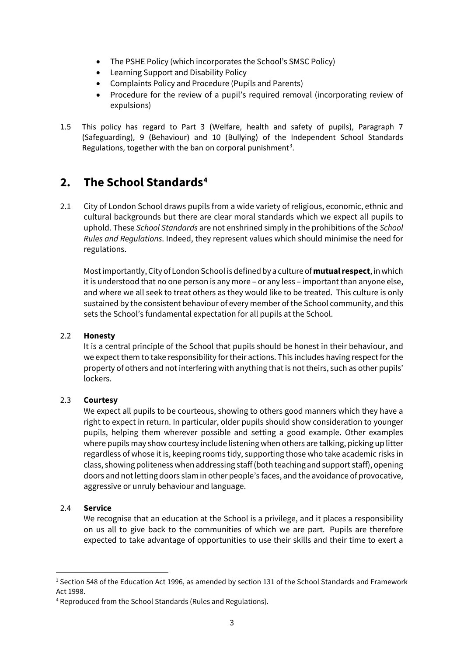- The PSHE Policy (which incorporates the School's SMSC Policy)
- Learning Support and Disability Policy
- Complaints Policy and Procedure (Pupils and Parents)
- Procedure for the review of a pupil's required removal (incorporating review of expulsions)
- 1.5 This policy has regard to Part 3 (Welfare, health and safety of pupils), Paragraph 7 (Safeguarding), 9 (Behaviour) and 10 (Bullying) of the Independent School Standards Regulations, together with the ban on corporal punishment<sup>[3](#page-2-0)</sup>.

# **2. The School Standards[4](#page-2-1)**

2.1 City of London School draws pupils from a wide variety of religious, economic, ethnic and cultural backgrounds but there are clear moral standards which we expect all pupils to uphold. These *School Standards* are not enshrined simply in the prohibitions of the *School Rules and Regulations*. Indeed, they represent values which should minimise the need for regulations.

Most importantly, City of London School is defined by a culture of **mutual respect**, in which it is understood that no one person is any more – or any less – important than anyone else, and where we all seek to treat others as they would like to be treated. This culture is only sustained by the consistent behaviour of every member of the School community, and this sets the School's fundamental expectation for all pupils at the School.

#### 2.2 **Honesty**

It is a central principle of the School that pupils should be honest in their behaviour, and we expect them to take responsibility for their actions. This includes having respect for the property of others and not interfering with anything that is not theirs, such as other pupils' lockers.

#### 2.3 **Courtesy**

We expect all pupils to be courteous, showing to others good manners which they have a right to expect in return. In particular, older pupils should show consideration to younger pupils, helping them wherever possible and setting a good example. Other examples where pupils may show courtesy include listening when others are talking, picking up litter regardless of whose it is, keeping rooms tidy, supporting those who take academic risks in class, showing politeness when addressing staff (both teaching and support staff), opening doors and not letting doors slam in other people's faces, and the avoidance of provocative, aggressive or unruly behaviour and language.

#### 2.4 **Service**

We recognise that an education at the School is a privilege, and it places a responsibility on us all to give back to the communities of which we are part. Pupils are therefore expected to take advantage of opportunities to use their skills and their time to exert a

<span id="page-2-0"></span><sup>&</sup>lt;sup>3</sup> Section 548 of the Education Act 1996, as amended by section 131 of the School Standards and Framework Act 1998.

<span id="page-2-1"></span><sup>4</sup> Reproduced from the School Standards (Rules and Regulations).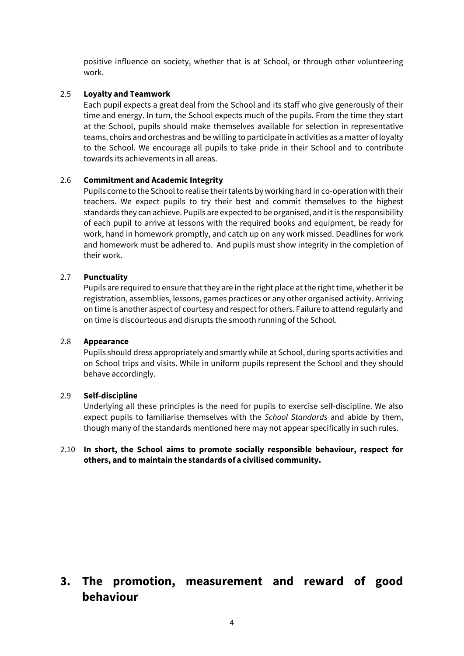positive influence on society, whether that is at School, or through other volunteering work.

#### 2.5 **Loyalty and Teamwork**

Each pupil expects a great deal from the School and its staff who give generously of their time and energy. In turn, the School expects much of the pupils. From the time they start at the School, pupils should make themselves available for selection in representative teams, choirs and orchestras and be willing to participate in activities as a matter of loyalty to the School. We encourage all pupils to take pride in their School and to contribute towards its achievements in all areas.

#### 2.6 **Commitment and Academic Integrity**

Pupils come to the School to realise their talents by working hard in co-operation with their teachers. We expect pupils to try their best and commit themselves to the highest standards they can achieve. Pupils are expected to be organised, and it is the responsibility of each pupil to arrive at lessons with the required books and equipment, be ready for work, hand in homework promptly, and catch up on any work missed. Deadlines for work and homework must be adhered to. And pupils must show integrity in the completion of their work.

#### 2.7 **Punctuality**

Pupils are required to ensure that they are in the right place at the right time, whether it be registration, assemblies, lessons, games practices or any other organised activity. Arriving on time is another aspect of courtesy and respect for others. Failure to attend regularly and on time is discourteous and disrupts the smooth running of the School.

#### 2.8 **Appearance**

Pupils should dress appropriately and smartly while at School, during sports activities and on School trips and visits. While in uniform pupils represent the School and they should behave accordingly.

#### 2.9 **Self-discipline**

Underlying all these principles is the need for pupils to exercise self-discipline. We also expect pupils to familiarise themselves with the *School Standards* and abide by them, though many of the standards mentioned here may not appear specifically in such rules.

#### 2.10 **In short, the School aims to promote socially responsible behaviour, respect for others, and to maintain the standards of a civilised community.**

### **3. The promotion, measurement and reward of good behaviour**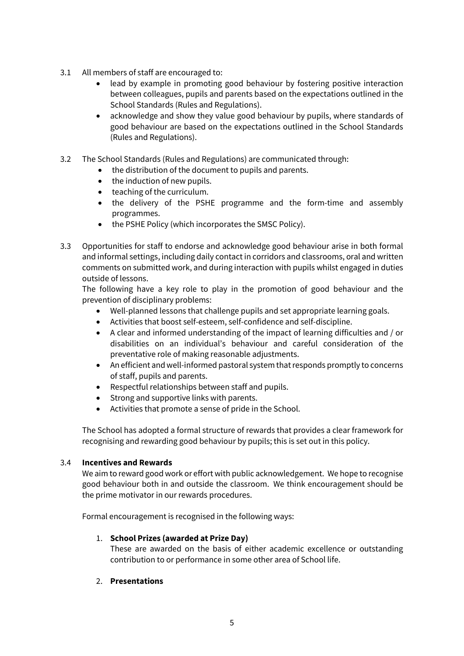- 3.1 All members of staff are encouraged to:
	- lead by example in promoting good behaviour by fostering positive interaction between colleagues, pupils and parents based on the expectations outlined in the School Standards (Rules and Regulations).
	- acknowledge and show they value good behaviour by pupils, where standards of good behaviour are based on the expectations outlined in the School Standards (Rules and Regulations).
- 3.2 The School Standards (Rules and Regulations) are communicated through:
	- the distribution of the document to pupils and parents.
	- the induction of new pupils.
	- teaching of the curriculum.
	- the delivery of the PSHE programme and the form-time and assembly programmes.
	- the PSHE Policy (which incorporates the SMSC Policy).
- 3.3 Opportunities for staff to endorse and acknowledge good behaviour arise in both formal and informal settings, including daily contact in corridors and classrooms, oral and written comments on submitted work, and during interaction with pupils whilst engaged in duties outside of lessons.

The following have a key role to play in the promotion of good behaviour and the prevention of disciplinary problems:

- Well-planned lessons that challenge pupils and set appropriate learning goals.
- Activities that boost self-esteem, self-confidence and self-discipline.
- A clear and informed understanding of the impact of learning difficulties and / or disabilities on an individual's behaviour and careful consideration of the preventative role of making reasonable adjustments.
- An efficient and well-informed pastoral system that responds promptly to concerns of staff, pupils and parents.
- Respectful relationships between staff and pupils.
- Strong and supportive links with parents.
- Activities that promote a sense of pride in the School.

The School has adopted a formal structure of rewards that provides a clear framework for recognising and rewarding good behaviour by pupils; this is set out in this policy.

#### 3.4 **Incentives and Rewards**

We aim to reward good work or effort with public acknowledgement. We hope to recognise good behaviour both in and outside the classroom. We think encouragement should be the prime motivator in our rewards procedures.

Formal encouragement is recognised in the following ways:

#### 1. **School Prizes (awarded at Prize Day)**

These are awarded on the basis of either academic excellence or outstanding contribution to or performance in some other area of School life.

#### 2. **Presentations**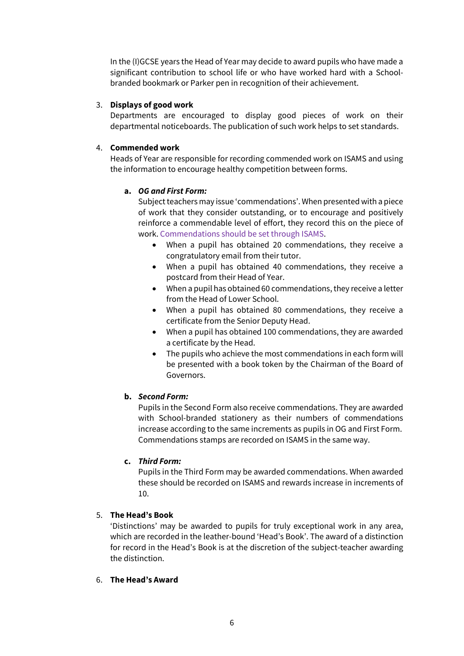In the (I)GCSE years the Head of Year may decide to award pupils who have made a significant contribution to school life or who have worked hard with a Schoolbranded bookmark or Parker pen in recognition of their achievement.

#### 3. **Displays of good work**

Departments are encouraged to display good pieces of work on their departmental noticeboards. The publication of such work helps to set standards.

#### 4. **Commended work**

Heads of Year are responsible for recording commended work on ISAMS and using the information to encourage healthy competition between forms.

#### **a.** *OG and First Form:*

Subject teachers may issue 'commendations'. When presented with a piece of work that they consider outstanding, or to encourage and positively reinforce a commendable level of effort, they record this on the piece of work. Commendations should be set through ISAMS.

- When a pupil has obtained 20 commendations, they receive a congratulatory email from their tutor.
- When a pupil has obtained 40 commendations, they receive a postcard from their Head of Year.
- When a pupil has obtained 60 commendations, they receive a letter from the Head of Lower School.
- When a pupil has obtained 80 commendations, they receive a certificate from the Senior Deputy Head.
- When a pupil has obtained 100 commendations, they are awarded a certificate by the Head.
- The pupils who achieve the most commendations in each form will be presented with a book token by the Chairman of the Board of Governors.

#### **b.** *Second Form:*

Pupils in the Second Form also receive commendations. They are awarded with School-branded stationery as their numbers of commendations increase according to the same increments as pupils in OG and First Form. Commendations stamps are recorded on ISAMS in the same way.

#### **c.** *Third Form:*

Pupils in the Third Form may be awarded commendations. When awarded these should be recorded on ISAMS and rewards increase in increments of 10.

#### 5. **The Head's Book**

'Distinctions' may be awarded to pupils for truly exceptional work in any area, which are recorded in the leather-bound 'Head's Book'. The award of a distinction for record in the Head's Book is at the discretion of the subject-teacher awarding the distinction.

#### 6. **The Head's Award**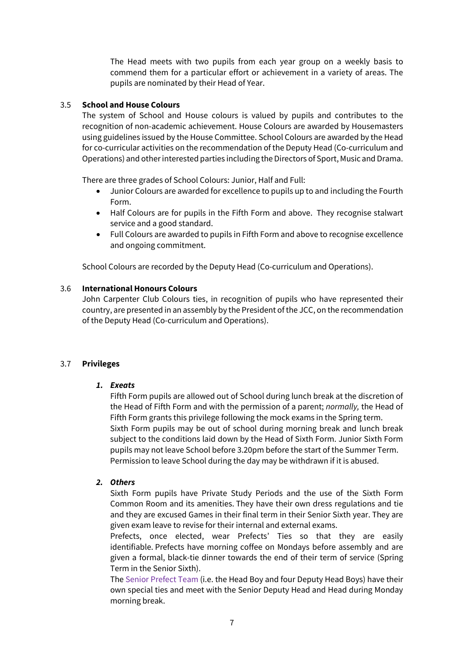The Head meets with two pupils from each year group on a weekly basis to commend them for a particular effort or achievement in a variety of areas. The pupils are nominated by their Head of Year.

#### 3.5 **School and House Colours**

The system of School and House colours is valued by pupils and contributes to the recognition of non-academic achievement. House Colours are awarded by Housemasters using guidelines issued by the House Committee. School Colours are awarded by the Head for co-curricular activities on the recommendation of the Deputy Head (Co-curriculum and Operations) and other interested parties including the Directors of Sport, Music and Drama.

There are three grades of School Colours: Junior, Half and Full:

- Junior Colours are awarded for excellence to pupils up to and including the Fourth Form.
- Half Colours are for pupils in the Fifth Form and above. They recognise stalwart service and a good standard.
- Full Colours are awarded to pupils in Fifth Form and above to recognise excellence and ongoing commitment.

School Colours are recorded by the Deputy Head (Co-curriculum and Operations).

#### 3.6 **International Honours Colours**

John Carpenter Club Colours ties, in recognition of pupils who have represented their country, are presented in an assembly by the President of the JCC, on the recommendation of the Deputy Head (Co-curriculum and Operations).

#### 3.7 **Privileges**

#### *1. Exeats*

Fifth Form pupils are allowed out of School during lunch break at the discretion of the Head of Fifth Form and with the permission of a parent; *normally,* the Head of Fifth Form grants this privilege following the mock exams in the Spring term. Sixth Form pupils may be out of school during morning break and lunch break subject to the conditions laid down by the Head of Sixth Form. Junior Sixth Form pupils may not leave School before 3.20pm before the start of the Summer Term. Permission to leave School during the day may be withdrawn if it is abused.

#### *2. Others*

Sixth Form pupils have Private Study Periods and the use of the Sixth Form Common Room and its amenities. They have their own dress regulations and tie and they are excused Games in their final term in their Senior Sixth year. They are given exam leave to revise for their internal and external exams.

Prefects, once elected, wear Prefects' Ties so that they are easily identifiable. Prefects have morning coffee on Mondays before assembly and are given a formal, black-tie dinner towards the end of their term of service (Spring Term in the Senior Sixth).

The Senior Prefect Team (i.e. the Head Boy and four Deputy Head Boys) have their own special ties and meet with the Senior Deputy Head and Head during Monday morning break.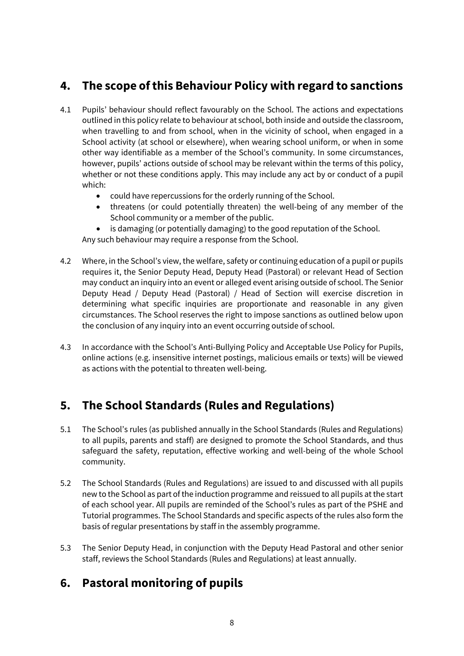# **4. The scope of this Behaviour Policy with regard to sanctions**

- 4.1 Pupils' behaviour should reflect favourably on the School. The actions and expectations outlined in this policy relate to behaviour at school, both inside and outside the classroom, when travelling to and from school, when in the vicinity of school, when engaged in a School activity (at school or elsewhere), when wearing school uniform, or when in some other way identifiable as a member of the School's community. In some circumstances, however, pupils' actions outside of school may be relevant within the terms of this policy, whether or not these conditions apply. This may include any act by or conduct of a pupil which:
	- could have repercussions for the orderly running of the School.
	- threatens (or could potentially threaten) the well-being of any member of the School community or a member of the public.
	- is damaging (or potentially damaging) to the good reputation of the School.

Any such behaviour may require a response from the School.

- 4.2 Where, in the School's view, the welfare, safety or continuing education of a pupil or pupils requires it, the Senior Deputy Head, Deputy Head (Pastoral) or relevant Head of Section may conduct an inquiry into an event or alleged event arising outside of school. The Senior Deputy Head / Deputy Head (Pastoral) / Head of Section will exercise discretion in determining what specific inquiries are proportionate and reasonable in any given circumstances. The School reserves the right to impose sanctions as outlined below upon the conclusion of any inquiry into an event occurring outside of school.
- 4.3 In accordance with the School's Anti-Bullying Policy and Acceptable Use Policy for Pupils, online actions (e.g. insensitive internet postings, malicious emails or texts) will be viewed as actions with the potential to threaten well-being.

# **5. The School Standards (Rules and Regulations)**

- 5.1 The School's rules (as published annually in the School Standards (Rules and Regulations) to all pupils, parents and staff) are designed to promote the School Standards, and thus safeguard the safety, reputation, effective working and well-being of the whole School community.
- 5.2 The School Standards (Rules and Regulations) are issued to and discussed with all pupils new to the School as part of the induction programme and reissued to all pupils at the start of each school year. All pupils are reminded of the School's rules as part of the PSHE and Tutorial programmes. The School Standards and specific aspects of the rules also form the basis of regular presentations by staff in the assembly programme.
- 5.3 The Senior Deputy Head, in conjunction with the Deputy Head Pastoral and other senior staff, reviews the School Standards (Rules and Regulations) at least annually.

# **6. Pastoral monitoring of pupils**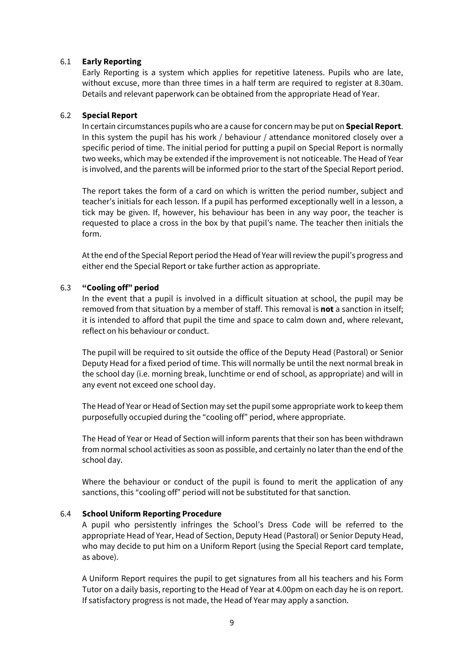#### 6.1 **Early Reporting**

Early Reporting is a system which applies for repetitive lateness. Pupils who are late, without excuse, more than three times in a half term are required to register at 8.30am. Details and relevant paperwork can be obtained from the appropriate Head of Year.

#### 6.2 **Special Report**

In certain circumstances pupils who are a cause for concern may be put on **Special Report**. In this system the pupil has his work / behaviour / attendance monitored closely over a specific period of time. The initial period for putting a pupil on Special Report is normally two weeks, which may be extended if the improvement is not noticeable. The Head of Year is involved, and the parents will be informed prior to the start of the Special Report period.

The report takes the form of a card on which is written the period number, subject and teacher's initials for each lesson. If a pupil has performed exceptionally well in a lesson, a tick may be given. If, however, his behaviour has been in any way poor, the teacher is requested to place a cross in the box by that pupil's name. The teacher then initials the form.

At the end of the Special Report period the Head of Year will review the pupil's progress and either end the Special Report or take further action as appropriate.

#### 6.3 **"Cooling off" period**

In the event that a pupil is involved in a difficult situation at school, the pupil may be removed from that situation by a member of staff. This removal is **not** a sanction in itself; it is intended to afford that pupil the time and space to calm down and, where relevant, reflect on his behaviour or conduct.

The pupil will be required to sit outside the office of the Deputy Head (Pastoral) or Senior Deputy Head for a fixed period of time. This will normally be until the next normal break in the school day (i.e. morning break, lunchtime or end of school, as appropriate) and will in any event not exceed one school day.

The Head of Year or Head of Section may set the pupil some appropriate work to keep them purposefully occupied during the "cooling off" period, where appropriate.

The Head of Year or Head of Section will inform parents that their son has been withdrawn from normal school activities as soon as possible, and certainly no later than the end of the school day.

Where the behaviour or conduct of the pupil is found to merit the application of any sanctions, this "cooling off" period will not be substituted for that sanction.

#### 6.4 **School Uniform Reporting Procedure**

A pupil who persistently infringes the School's Dress Code will be referred to the appropriate Head of Year, Head of Section, Deputy Head (Pastoral) or Senior Deputy Head, who may decide to put him on a Uniform Report (using the Special Report card template, as above).

A Uniform Report requires the pupil to get signatures from all his teachers and his Form Tutor on a daily basis, reporting to the Head of Year at 4.00pm on each day he is on report. If satisfactory progress is not made, the Head of Year may apply a sanction.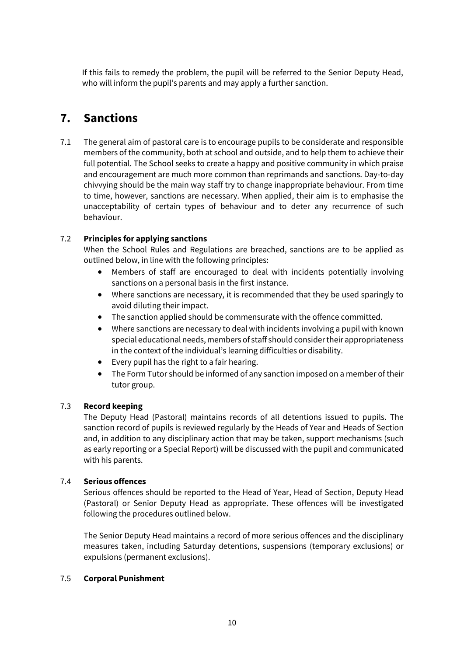If this fails to remedy the problem, the pupil will be referred to the Senior Deputy Head, who will inform the pupil's parents and may apply a further sanction.

### **7. Sanctions**

7.1 The general aim of pastoral care is to encourage pupils to be considerate and responsible members of the community, both at school and outside, and to help them to achieve their full potential. The School seeks to create a happy and positive community in which praise and encouragement are much more common than reprimands and sanctions. Day-to-day chivvying should be the main way staff try to change inappropriate behaviour. From time to time, however, sanctions are necessary. When applied, their aim is to emphasise the unacceptability of certain types of behaviour and to deter any recurrence of such behaviour.

#### 7.2 **Principles for applying sanctions**

When the School Rules and Regulations are breached, sanctions are to be applied as outlined below, in line with the following principles:

- Members of staff are encouraged to deal with incidents potentially involving sanctions on a personal basis in the first instance.
- Where sanctions are necessary, it is recommended that they be used sparingly to avoid diluting their impact.
- The sanction applied should be commensurate with the offence committed.
- Where sanctions are necessary to deal with incidents involving a pupil with known special educational needs, members of staff should consider their appropriateness in the context of the individual's learning difficulties or disability.
- Every pupil has the right to a fair hearing.
- The Form Tutor should be informed of any sanction imposed on a member of their tutor group.

#### 7.3 **Record keeping**

The Deputy Head (Pastoral) maintains records of all detentions issued to pupils. The sanction record of pupils is reviewed regularly by the Heads of Year and Heads of Section and, in addition to any disciplinary action that may be taken, support mechanisms (such as early reporting or a Special Report) will be discussed with the pupil and communicated with his parents.

#### 7.4 **Serious offences**

Serious offences should be reported to the Head of Year, Head of Section, Deputy Head (Pastoral) or Senior Deputy Head as appropriate. These offences will be investigated following the procedures outlined below.

The Senior Deputy Head maintains a record of more serious offences and the disciplinary measures taken, including Saturday detentions, suspensions (temporary exclusions) or expulsions (permanent exclusions).

#### 7.5 **Corporal Punishment**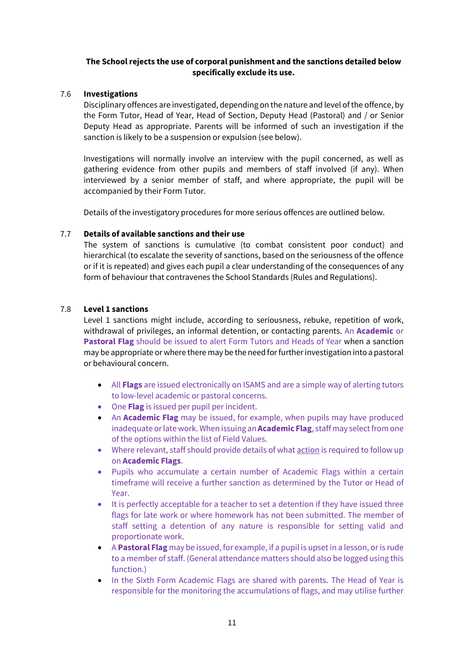#### **The School rejects the use of corporal punishment and the sanctions detailed below specifically exclude its use.**

#### 7.6 **Investigations**

Disciplinary offences are investigated, depending on the nature and level of the offence, by the Form Tutor, Head of Year, Head of Section, Deputy Head (Pastoral) and / or Senior Deputy Head as appropriate. Parents will be informed of such an investigation if the sanction is likely to be a suspension or expulsion (see below).

Investigations will normally involve an interview with the pupil concerned, as well as gathering evidence from other pupils and members of staff involved (if any). When interviewed by a senior member of staff, and where appropriate, the pupil will be accompanied by their Form Tutor.

Details of the investigatory procedures for more serious offences are outlined below.

#### 7.7 **Details of available sanctions and their use**

The system of sanctions is cumulative (to combat consistent poor conduct) and hierarchical (to escalate the severity of sanctions, based on the seriousness of the offence or if it is repeated) and gives each pupil a clear understanding of the consequences of any form of behaviour that contravenes the School Standards (Rules and Regulations).

#### 7.8 **Level 1 sanctions**

Level 1 sanctions might include, according to seriousness, rebuke, repetition of work, withdrawal of privileges, an informal detention, or contacting parents. An **Academic** or **Pastoral Flag** should be issued to alert Form Tutors and Heads of Year when a sanction may be appropriate or where there may be the need for further investigation into a pastoral or behavioural concern.

- All **Flags** are issued electronically on ISAMS and are a simple way of alerting tutors to low-level academic or pastoral concerns.
- One **Flag** is issued per pupil per incident.
- An **Academic Flag** may be issued, for example, when pupils may have produced inadequate or late work. When issuing an **Academic Flag**, staff may select from one of the options within the list of Field Values.
- Where relevant, staff should provide details of what action is required to follow up on **Academic Flags**.
- Pupils who accumulate a certain number of Academic Flags within a certain timeframe will receive a further sanction as determined by the Tutor or Head of Year.
- It is perfectly acceptable for a teacher to set a detention if they have issued three flags for late work or where homework has not been submitted. The member of staff setting a detention of any nature is responsible for setting valid and proportionate work.
- A **Pastoral Flag** may be issued, for example, if a pupil is upset in a lesson, or is rude to a member of staff. (General attendance matters should also be logged using this function.)
- In the Sixth Form Academic Flags are shared with parents. The Head of Year is responsible for the monitoring the accumulations of flags, and may utilise further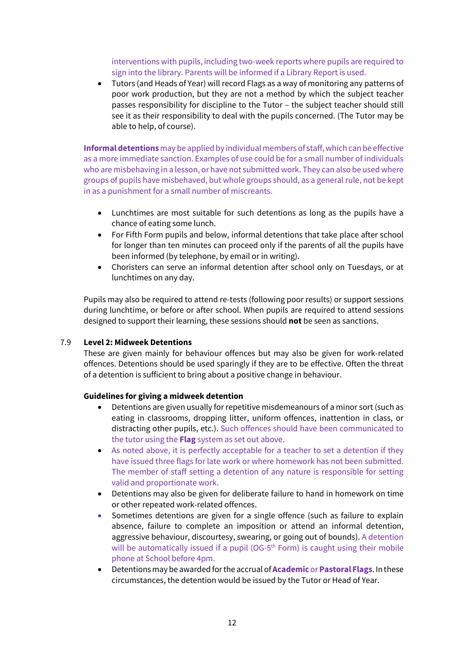interventions with pupils, including two-week reports where pupils are required to sign into the library. Parents will be informed if a Library Report is used.

• Tutors (and Heads of Year) will record Flags as a way of monitoring any patterns of poor work production, but they are not a method by which the subject teacher passes responsibility for discipline to the Tutor – the subject teacher should still see it as their responsibility to deal with the pupils concerned. (The Tutor may be able to help, of course).

**Informal detentions** may be applied by individual members of staff, which can be effective as a more immediate sanction. Examples of use could be for a small number of individuals who are misbehaving in a lesson, or have not submitted work. They can also be used where groups of pupils have misbehaved, but whole groups should, as a general rule, not be kept in as a punishment for a small number of miscreants.

- Lunchtimes are most suitable for such detentions as long as the pupils have a chance of eating some lunch.
- For Fifth Form pupils and below, informal detentions that take place after school for longer than ten minutes can proceed only if the parents of all the pupils have been informed (by telephone, by email or in writing).
- Choristers can serve an informal detention after school only on Tuesdays, or at lunchtimes on any day.

Pupils may also be required to attend re-tests (following poor results) or support sessions during lunchtime, or before or after school. When pupils are required to attend sessions designed to support their learning, these sessions should **not** be seen as sanctions.

#### 7.9 **Level 2: Midweek Detentions**

These are given mainly for behaviour offences but may also be given for work-related offences. Detentions should be used sparingly if they are to be effective. Often the threat of a detention is sufficient to bring about a positive change in behaviour.

#### **Guidelines for giving a midweek detention**

- Detentions are given usually for repetitive misdemeanours of a minor sort (such as eating in classrooms, dropping litter, uniform offences, inattention in class, or distracting other pupils, etc.). Such offences should have been communicated to the tutor using the **Flag** system as set out above.
- As noted above, it is perfectly acceptable for a teacher to set a detention if they have issued three flags for late work or where homework has not been submitted. The member of staff setting a detention of any nature is responsible for setting valid and proportionate work.
- Detentions may also be given for deliberate failure to hand in homework on time or other repeated work-related offences.
- Sometimes detentions are given for a single offence (such as failure to explain absence, failure to complete an imposition or attend an informal detention, aggressive behaviour, discourtesy, swearing, or going out of bounds). A detention will be automatically issued if a pupil (OG-5<sup>th</sup> Form) is caught using their mobile phone at School before 4pm.
- Detentions may be awarded for the accrual of **Academic** or **Pastoral Flags**. In these circumstances, the detention would be issued by the Tutor or Head of Year.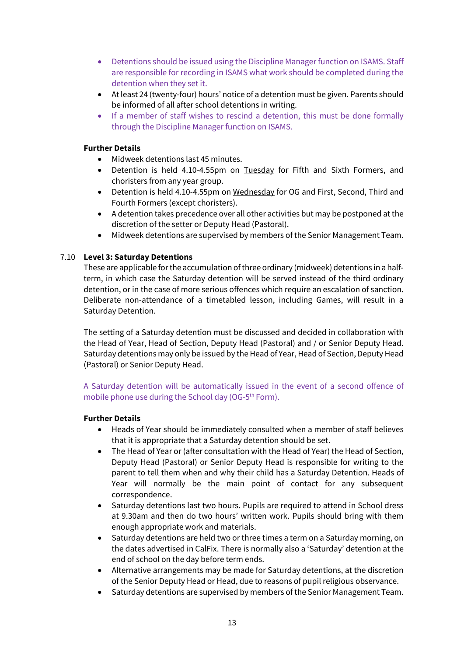- Detentions should be issued using the Discipline Manager function on ISAMS. Staff are responsible for recording in ISAMS what work should be completed during the detention when they set it.
- At least 24 (twenty-four) hours' notice of a detention must be given. Parents should be informed of all after school detentions in writing.
- If a member of staff wishes to rescind a detention, this must be done formally through the Discipline Manager function on ISAMS.

#### **Further Details**

- Midweek detentions last 45 minutes.
- Detention is held 4.10-4.55pm on Tuesday for Fifth and Sixth Formers, and choristers from any year group.
- Detention is held 4.10-4.55pm on Wednesday for OG and First, Second, Third and Fourth Formers (except choristers).
- A detention takes precedence over all other activities but may be postponed at the discretion of the setter or Deputy Head (Pastoral).
- Midweek detentions are supervised by members of the Senior Management Team.

#### 7.10 **Level 3: Saturday Detentions**

These are applicable for the accumulation of three ordinary (midweek) detentions in a halfterm, in which case the Saturday detention will be served instead of the third ordinary detention, or in the case of more serious offences which require an escalation of sanction. Deliberate non-attendance of a timetabled lesson, including Games, will result in a Saturday Detention.

The setting of a Saturday detention must be discussed and decided in collaboration with the Head of Year, Head of Section, Deputy Head (Pastoral) and / or Senior Deputy Head. Saturday detentions may only be issued by the Head of Year, Head of Section, Deputy Head (Pastoral) or Senior Deputy Head.

#### A Saturday detention will be automatically issued in the event of a second offence of mobile phone use during the School day (OG-5<sup>th</sup> Form).

#### **Further Details**

- Heads of Year should be immediately consulted when a member of staff believes that it is appropriate that a Saturday detention should be set.
- The Head of Year or (after consultation with the Head of Year) the Head of Section, Deputy Head (Pastoral) or Senior Deputy Head is responsible for writing to the parent to tell them when and why their child has a Saturday Detention. Heads of Year will normally be the main point of contact for any subsequent correspondence.
- Saturday detentions last two hours. Pupils are required to attend in School dress at 9.30am and then do two hours' written work. Pupils should bring with them enough appropriate work and materials.
- Saturday detentions are held two or three times a term on a Saturday morning, on the dates advertised in CalFix. There is normally also a 'Saturday' detention at the end of school on the day before term ends.
- Alternative arrangements may be made for Saturday detentions, at the discretion of the Senior Deputy Head or Head, due to reasons of pupil religious observance.
- Saturday detentions are supervised by members of the Senior Management Team.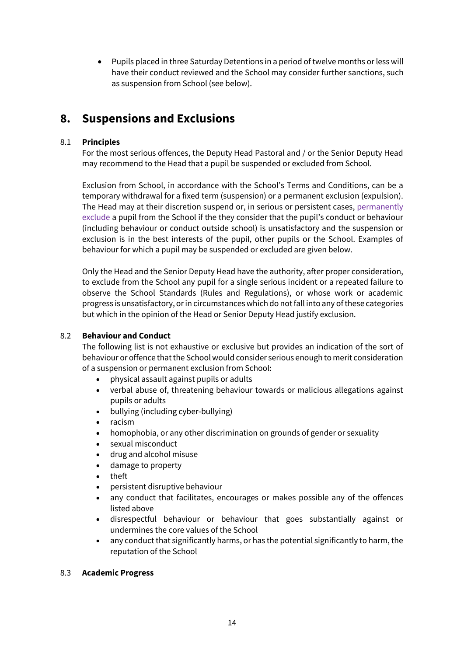• Pupils placed in three Saturday Detentions in a period of twelve months or less will have their conduct reviewed and the School may consider further sanctions, such as suspension from School (see below).

## **8. Suspensions and Exclusions**

#### 8.1 **Principles**

For the most serious offences, the Deputy Head Pastoral and / or the Senior Deputy Head may recommend to the Head that a pupil be suspended or excluded from School.

Exclusion from School, in accordance with the School's Terms and Conditions, can be a temporary withdrawal for a fixed term (suspension) or a permanent exclusion (expulsion). The Head may at their discretion suspend or, in serious or persistent cases, permanently exclude a pupil from the School if the they consider that the pupil's conduct or behaviour (including behaviour or conduct outside school) is unsatisfactory and the suspension or exclusion is in the best interests of the pupil, other pupils or the School. Examples of behaviour for which a pupil may be suspended or excluded are given below.

Only the Head and the Senior Deputy Head have the authority, after proper consideration, to exclude from the School any pupil for a single serious incident or a repeated failure to observe the School Standards (Rules and Regulations), or whose work or academic progress is unsatisfactory, or in circumstances which do not fall into any of these categories but which in the opinion of the Head or Senior Deputy Head justify exclusion.

#### 8.2 **Behaviour and Conduct**

The following list is not exhaustive or exclusive but provides an indication of the sort of behaviour or offence that the School would consider serious enough to merit consideration of a suspension or permanent exclusion from School:

- physical assault against pupils or adults
- verbal abuse of, threatening behaviour towards or malicious allegations against pupils or adults
- bullying (including cyber-bullying)
- racism
- homophobia, or any other discrimination on grounds of gender or sexuality
- sexual misconduct
- drug and alcohol misuse
- damage to property
- theft
- persistent disruptive behaviour
- any conduct that facilitates, encourages or makes possible any of the offences listed above
- disrespectful behaviour or behaviour that goes substantially against or undermines the core values of the School
- any conduct that significantly harms, or has the potential significantly to harm, the reputation of the School

#### 8.3 **Academic Progress**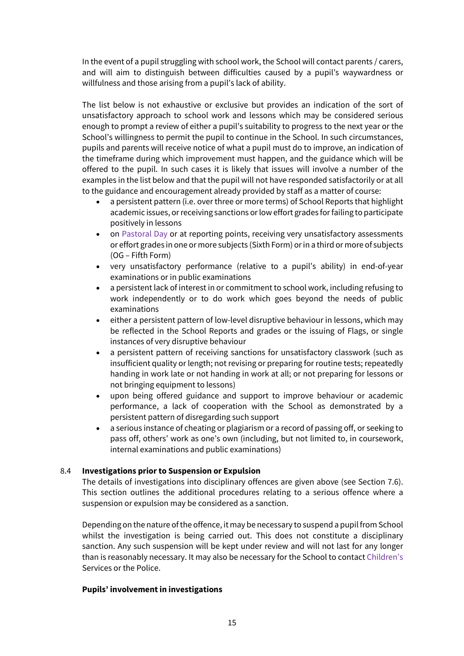In the event of a pupil struggling with school work, the School will contact parents / carers, and will aim to distinguish between difficulties caused by a pupil's waywardness or willfulness and those arising from a pupil's lack of ability.

The list below is not exhaustive or exclusive but provides an indication of the sort of unsatisfactory approach to school work and lessons which may be considered serious enough to prompt a review of either a pupil's suitability to progress to the next year or the School's willingness to permit the pupil to continue in the School. In such circumstances, pupils and parents will receive notice of what a pupil must do to improve, an indication of the timeframe during which improvement must happen, and the guidance which will be offered to the pupil. In such cases it is likely that issues will involve a number of the examples in the list below and that the pupil will not have responded satisfactorily or at all to the guidance and encouragement already provided by staff as a matter of course:

- a persistent pattern (i.e. over three or more terms) of School Reports that highlight academic issues, or receiving sanctions or low effort grades for failing to participate positively in lessons
- on Pastoral Day or at reporting points, receiving very unsatisfactory assessments or effort grades in one or more subjects (Sixth Form) or in a third or more of subjects (OG – Fifth Form)
- very unsatisfactory performance (relative to a pupil's ability) in end-of-year examinations or in public examinations
- a persistent lack of interest in or commitment to school work, including refusing to work independently or to do work which goes beyond the needs of public examinations
- either a persistent pattern of low-level disruptive behaviour in lessons, which may be reflected in the School Reports and grades or the issuing of Flags, or single instances of very disruptive behaviour
- a persistent pattern of receiving sanctions for unsatisfactory classwork (such as insufficient quality or length; not revising or preparing for routine tests; repeatedly handing in work late or not handing in work at all; or not preparing for lessons or not bringing equipment to lessons)
- upon being offered guidance and support to improve behaviour or academic performance, a lack of cooperation with the School as demonstrated by a persistent pattern of disregarding such support
- a serious instance of cheating or plagiarism or a record of passing off, or seeking to pass off, others' work as one's own (including, but not limited to, in coursework, internal examinations and public examinations)

#### 8.4 **Investigations prior to Suspension or Expulsion**

The details of investigations into disciplinary offences are given above (see Section 7.6). This section outlines the additional procedures relating to a serious offence where a suspension or expulsion may be considered as a sanction.

Depending on the nature of the offence, it may be necessary to suspend a pupil from School whilst the investigation is being carried out. This does not constitute a disciplinary sanction. Any such suspension will be kept under review and will not last for any longer than is reasonably necessary. It may also be necessary for the School to contact Children's Services or the Police.

#### **Pupils' involvement in investigations**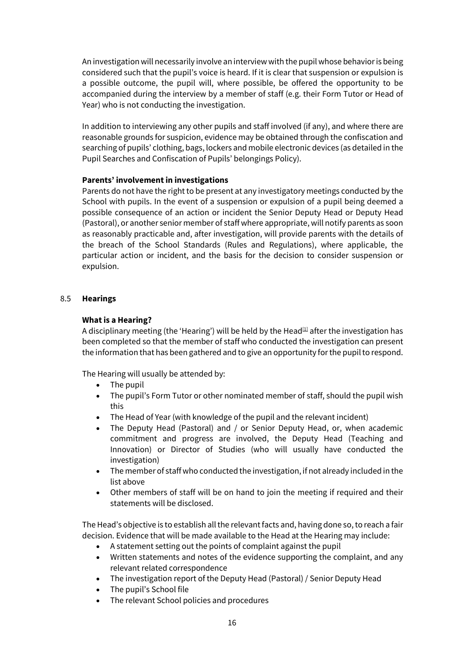An investigation will necessarily involve an interview with the pupil whose behavior is being considered such that the pupil's voice is heard. If it is clear that suspension or expulsion is a possible outcome, the pupil will, where possible, be offered the opportunity to be accompanied during the interview by a member of staff (e.g. their Form Tutor or Head of Year) who is not conducting the investigation.

In addition to interviewing any other pupils and staff involved (if any), and where there are reasonable grounds for suspicion, evidence may be obtained through the confiscation and searching of pupils' clothing, bags, lockers and mobile electronic devices (as detailed in the Pupil Searches and Confiscation of Pupils' belongings Policy).

#### **Parents' involvement in investigations**

Parents do not have the right to be present at any investigatory meetings conducted by the School with pupils. In the event of a suspension or expulsion of a pupil being deemed a possible consequence of an action or incident the Senior Deputy Head or Deputy Head (Pastoral), or another senior member of staff where appropriate, will notify parents as soon as reasonably practicable and, after investigation, will provide parents with the details of the breach of the School Standards (Rules and Regulations), where applicable, the particular action or incident, and the basis for the decision to consider suspension or expulsion.

#### 8.5 **Hearings**

#### **What is a Hearing?**

A disciplinary meeting (the 'Hearing') will be held by the Head<sup>[1]</sup> after the investigation has been completed so that the member of staff who conducted the investigation can present the information that has been gathered and to give an opportunity for the pupil to respond.

The Hearing will usually be attended by:

- The pupil
- The pupil's Form Tutor or other nominated member of staff, should the pupil wish this
- The Head of Year (with knowledge of the pupil and the relevant incident)
- The Deputy Head (Pastoral) and / or Senior Deputy Head, or, when academic commitment and progress are involved, the Deputy Head (Teaching and Innovation) or Director of Studies (who will usually have conducted the investigation)
- The member of staff who conducted the investigation, if not already included in the list above
- Other members of staff will be on hand to join the meeting if required and their statements will be disclosed.

The Head's objective is to establish all the relevant facts and, having done so, to reach a fair decision. Evidence that will be made available to the Head at the Hearing may include:

- A statement setting out the points of complaint against the pupil
- Written statements and notes of the evidence supporting the complaint, and any relevant related correspondence
- The investigation report of the Deputy Head (Pastoral) / Senior Deputy Head
- The pupil's School file
- The relevant School policies and procedures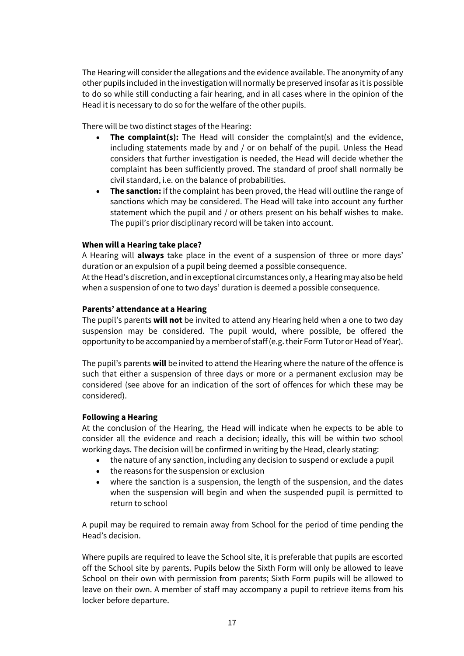The Hearing will consider the allegations and the evidence available. The anonymity of any other pupils included in the investigation will normally be preserved insofar as it is possible to do so while still conducting a fair hearing, and in all cases where in the opinion of the Head it is necessary to do so for the welfare of the other pupils.

There will be two distinct stages of the Hearing:

- **The complaint(s):** The Head will consider the complaint(s) and the evidence, including statements made by and / or on behalf of the pupil. Unless the Head considers that further investigation is needed, the Head will decide whether the complaint has been sufficiently proved. The standard of proof shall normally be civil standard, i.e. on the balance of probabilities.
- **The sanction:** if the complaint has been proved, the Head will outline the range of sanctions which may be considered. The Head will take into account any further statement which the pupil and / or others present on his behalf wishes to make. The pupil's prior disciplinary record will be taken into account.

#### **When will a Hearing take place?**

A Hearing will **always** take place in the event of a suspension of three or more days' duration or an expulsion of a pupil being deemed a possible consequence. At the Head's discretion, and in exceptional circumstances only, a Hearing may also be held when a suspension of one to two days' duration is deemed a possible consequence.

#### **Parents' attendance at a Hearing**

The pupil's parents **will not** be invited to attend any Hearing held when a one to two day suspension may be considered. The pupil would, where possible, be offered the opportunity to be accompanied by a member of staff (e.g. their Form Tutor or Head of Year).

The pupil's parents **will** be invited to attend the Hearing where the nature of the offence is such that either a suspension of three days or more or a permanent exclusion may be considered (see above for an indication of the sort of offences for which these may be considered).

#### **Following a Hearing**

At the conclusion of the Hearing, the Head will indicate when he expects to be able to consider all the evidence and reach a decision; ideally, this will be within two school working days. The decision will be confirmed in writing by the Head, clearly stating:

- the nature of any sanction, including any decision to suspend or exclude a pupil
- the reasons for the suspension or exclusion
- where the sanction is a suspension, the length of the suspension, and the dates when the suspension will begin and when the suspended pupil is permitted to return to school

A pupil may be required to remain away from School for the period of time pending the Head's decision.

Where pupils are required to leave the School site, it is preferable that pupils are escorted off the School site by parents. Pupils below the Sixth Form will only be allowed to leave School on their own with permission from parents; Sixth Form pupils will be allowed to leave on their own. A member of staff may accompany a pupil to retrieve items from his locker before departure.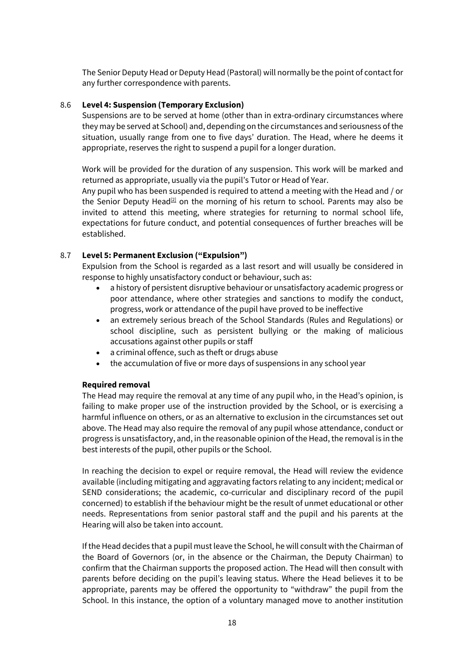The Senior Deputy Head or Deputy Head (Pastoral) will normally be the point of contact for any further correspondence with parents.

#### 8.6 **Level 4: Suspension (Temporary Exclusion)**

Suspensions are to be served at home (other than in extra-ordinary circumstances where they may be served at School) and, depending on the circumstances and seriousness of the situation, usually range from one to five days' duration. The Head, where he deems it appropriate, reserves the right to suspend a pupil for a longer duration.

Work will be provided for the duration of any suspension. This work will be marked and returned as appropriate, usually via the pupil's Tutor or Head of Year.

Any pupil who has been suspended is required to attend a meeting with the Head and / or the Senior Deputy Head<sup>[2]</sup> on the morning of his return to school. Parents may also be invited to attend this meeting, where strategies for returning to normal school life, expectations for future conduct, and potential consequences of further breaches will be established.

#### 8.7 **Level 5: Permanent Exclusion ("Expulsion")**

Expulsion from the School is regarded as a last resort and will usually be considered in response to highly unsatisfactory conduct or behaviour, such as:

- a history of persistent disruptive behaviour or unsatisfactory academic progress or poor attendance, where other strategies and sanctions to modify the conduct, progress, work or attendance of the pupil have proved to be ineffective
- an extremely serious breach of the School Standards (Rules and Regulations) or school discipline, such as persistent bullying or the making of malicious accusations against other pupils or staff
- a criminal offence, such as theft or drugs abuse
- the accumulation of five or more days of suspensions in any school year

#### **Required removal**

The Head may require the removal at any time of any pupil who, in the Head's opinion, is failing to make proper use of the instruction provided by the School, or is exercising a harmful influence on others, or as an alternative to exclusion in the circumstances set out above. The Head may also require the removal of any pupil whose attendance, conduct or progress is unsatisfactory, and, in the reasonable opinion of the Head, the removal is in the best interests of the pupil, other pupils or the School.

In reaching the decision to expel or require removal, the Head will review the evidence available (including mitigating and aggravating factors relating to any incident; medical or SEND considerations; the academic, co-curricular and disciplinary record of the pupil concerned) to establish if the behaviour might be the result of unmet educational or other needs. Representations from senior pastoral staff and the pupil and his parents at the Hearing will also be taken into account.

If the Head decides that a pupil must leave the School, he will consult with the Chairman of the Board of Governors (or, in the absence or the Chairman, the Deputy Chairman) to confirm that the Chairman supports the proposed action. The Head will then consult with parents before deciding on the pupil's leaving status. Where the Head believes it to be appropriate, parents may be offered the opportunity to "withdraw" the pupil from the School. In this instance, the option of a voluntary managed move to another institution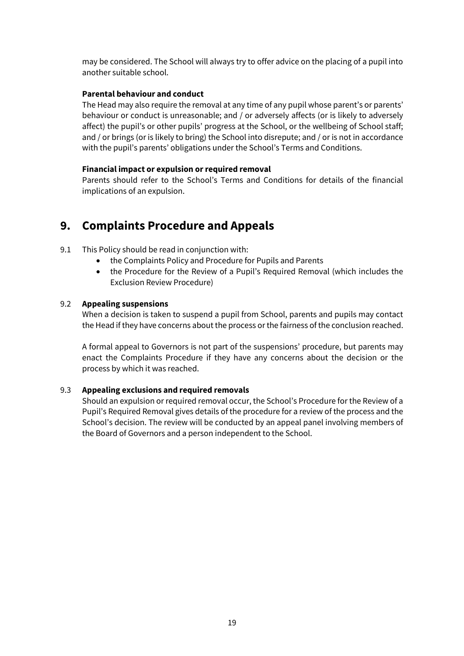may be considered. The School will always try to offer advice on the placing of a pupil into another suitable school.

#### **Parental behaviour and conduct**

The Head may also require the removal at any time of any pupil whose parent's or parents' behaviour or conduct is unreasonable; and / or adversely affects (or is likely to adversely affect) the pupil's or other pupils' progress at the School, or the wellbeing of School staff; and / or brings (or is likely to bring) the School into disrepute; and / or is not in accordance with the pupil's parents' obligations under the School's Terms and Conditions.

#### **Financial impact or expulsion or required removal**

Parents should refer to the School's Terms and Conditions for details of the financial implications of an expulsion.

# **9. Complaints Procedure and Appeals**

- 9.1 This Policy should be read in conjunction with:
	- the Complaints Policy and Procedure for Pupils and Parents
	- the Procedure for the Review of a Pupil's Required Removal (which includes the Exclusion Review Procedure)

#### 9.2 **Appealing suspensions**

When a decision is taken to suspend a pupil from School, parents and pupils may contact the Head if they have concerns about the process or the fairness of the conclusion reached.

A formal appeal to Governors is not part of the suspensions' procedure, but parents may enact the Complaints Procedure if they have any concerns about the decision or the process by which it was reached.

#### 9.3 **Appealing exclusions and required removals**

Should an expulsion or required removal occur, the School's Procedure for the Review of a Pupil's Required Removal gives details of the procedure for a review of the process and the School's decision. The review will be conducted by an appeal panel involving members of the Board of Governors and a person independent to the School.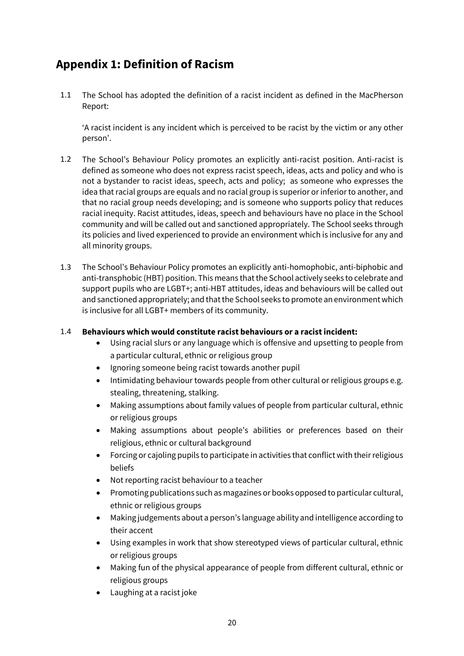# **Appendix 1: Definition of Racism**

1.1 The School has adopted the definition of a racist incident as defined in the MacPherson Report:

'A racist incident is any incident which is perceived to be racist by the victim or any other person'.

- 1.2 The School's Behaviour Policy promotes an explicitly anti-racist position. Anti-racist is defined as someone who does not express racist speech, ideas, acts and policy and who is not a bystander to racist ideas, speech, acts and policy; as someone who expresses the idea that racial groups are equals and no racial group is superior or inferior to another, and that no racial group needs developing; and is someone who supports policy that reduces racial inequity. Racist attitudes, ideas, speech and behaviours have no place in the School community and will be called out and sanctioned appropriately. The School seeks through its policies and lived experienced to provide an environment which is inclusive for any and all minority groups.
- 1.3 The School's Behaviour Policy promotes an explicitly anti-homophobic, anti-biphobic and anti-transphobic (HBT) position. This means that the School actively seeks to celebrate and support pupils who are LGBT+; anti-HBT attitudes, ideas and behaviours will be called out and sanctioned appropriately; and that the School seeks to promote an environment which is inclusive for all LGBT+ members of its community.

#### 1.4 **Behaviours which would constitute racist behaviours or a racist incident:**

- Using racial slurs or any language which is offensive and upsetting to people from a particular cultural, ethnic or religious group
- Ignoring someone being racist towards another pupil
- Intimidating behaviour towards people from other cultural or religious groups e.g. stealing, threatening, stalking.
- Making assumptions about family values of people from particular cultural, ethnic or religious groups
- Making assumptions about people's abilities or preferences based on their religious, ethnic or cultural background
- Forcing or cajoling pupils to participate in activities that conflict with their religious beliefs
- Not reporting racist behaviour to a teacher
- Promoting publications such as magazines or books opposed to particular cultural, ethnic or religious groups
- Making judgements about a person's language ability and intelligence according to their accent
- Using examples in work that show stereotyped views of particular cultural, ethnic or religious groups
- Making fun of the physical appearance of people from different cultural, ethnic or religious groups
- Laughing at a racist joke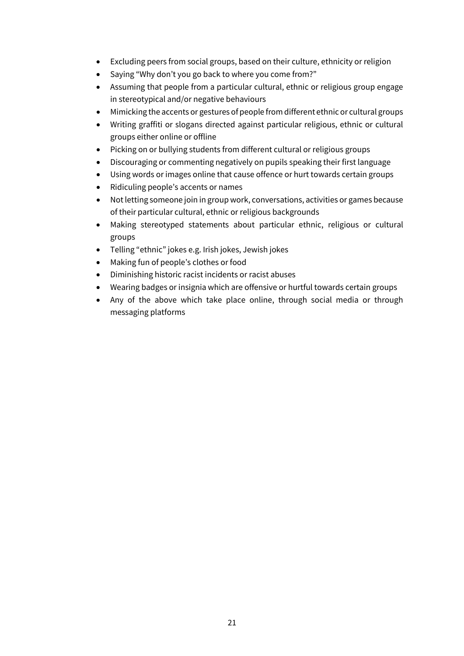- Excluding peers from social groups, based on their culture, ethnicity or religion
- Saying "Why don't you go back to where you come from?"
- Assuming that people from a particular cultural, ethnic or religious group engage in stereotypical and/or negative behaviours
- Mimicking the accents or gestures of people from different ethnic or cultural groups
- Writing graffiti or slogans directed against particular religious, ethnic or cultural groups either online or offline
- Picking on or bullying students from different cultural or religious groups
- Discouraging or commenting negatively on pupils speaking their first language
- Using words or images online that cause offence or hurt towards certain groups
- Ridiculing people's accents or names
- Not letting someone join in group work, conversations, activities or games because of their particular cultural, ethnic or religious backgrounds
- Making stereotyped statements about particular ethnic, religious or cultural groups
- Telling "ethnic" jokes e.g. Irish jokes, Jewish jokes
- Making fun of people's clothes or food
- Diminishing historic racist incidents or racist abuses
- Wearing badges or insignia which are offensive or hurtful towards certain groups
- Any of the above which take place online, through social media or through messaging platforms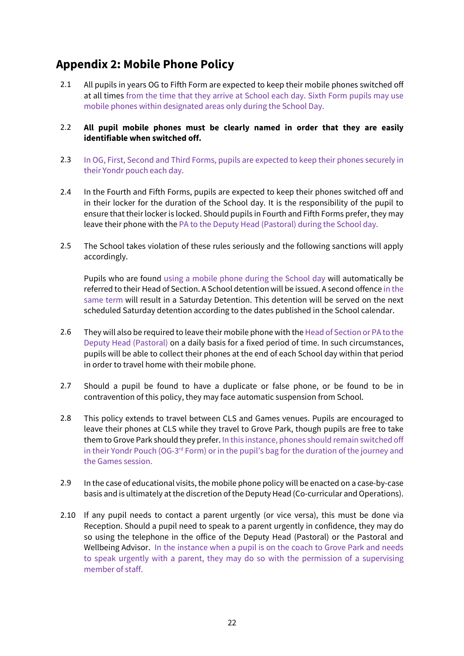# **Appendix 2: Mobile Phone Policy**

2.1 All pupils in years OG to Fifth Form are expected to keep their mobile phones switched off at all times from the time that they arrive at School each day. Sixth Form pupils may use mobile phones within designated areas only during the School Day.

#### 2.2 **All pupil mobile phones must be clearly named in order that they are easily identifiable when switched off.**

- 2.3 In OG, First, Second and Third Forms, pupils are expected to keep their phones securely in their Yondr pouch each day.
- 2.4 In the Fourth and Fifth Forms, pupils are expected to keep their phones switched off and in their locker for the duration of the School day. It is the responsibility of the pupil to ensure that their locker is locked. Should pupils in Fourth and Fifth Forms prefer, they may leave their phone with the PA to the Deputy Head (Pastoral) during the School day.
- 2.5 The School takes violation of these rules seriously and the following sanctions will apply accordingly.

Pupils who are found using a mobile phone during the School day will automatically be referred to their Head of Section. A School detention will be issued. A second offence in the same term will result in a Saturday Detention. This detention will be served on the next scheduled Saturday detention according to the dates published in the School calendar.

- 2.6 They will also be required to leave their mobile phone with the Head of Section or PA to the Deputy Head (Pastoral) on a daily basis for a fixed period of time. In such circumstances, pupils will be able to collect their phones at the end of each School day within that period in order to travel home with their mobile phone.
- 2.7 Should a pupil be found to have a duplicate or false phone, or be found to be in contravention of this policy, they may face automatic suspension from School.
- 2.8 This policy extends to travel between CLS and Games venues. Pupils are encouraged to leave their phones at CLS while they travel to Grove Park, though pupils are free to take them to Grove Park should they prefer. In this instance, phones should remain switched off in their Yondr Pouch (OG-3<sup>rd</sup> Form) or in the pupil's bag for the duration of the journey and the Games session.
- 2.9 In the case of educational visits, the mobile phone policy will be enacted on a case-by-case basis and is ultimately at the discretion of the Deputy Head (Co-curricular and Operations).
- 2.10 If any pupil needs to contact a parent urgently (or vice versa), this must be done via Reception. Should a pupil need to speak to a parent urgently in confidence, they may do so using the telephone in the office of the Deputy Head (Pastoral) or the Pastoral and Wellbeing Advisor. In the instance when a pupil is on the coach to Grove Park and needs to speak urgently with a parent, they may do so with the permission of a supervising member of staff.